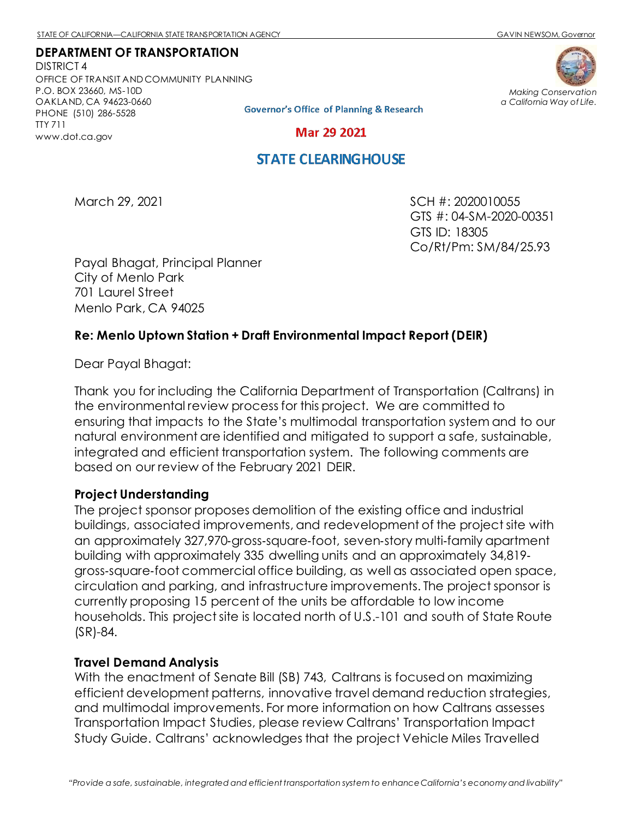#### **DEPARTMENT OF TRANSPORTATION**

DISTRICT 4 OFFICE OF TRANSIT AND COMMUNITY PLANNING P.O. BOX 23660, MS-10D OAKLAND, CA 94623-0660 PHONE (510) 286-5528 TTY 711 [www.dot.ca.gov](http://www.dot.ca.gov/)



**Governor's Office of Planning & Research** 

**Mar 29 2021** 

## **STATE CLEARINGHOUSE**

March 29, 2021 SCH #: 2020010055 GTS #: 04-SM-2020-00351 GTS ID: 18305 Co/Rt/Pm: SM/84/25.93

Payal Bhagat, Principal Planner City of Menlo Park 701 Laurel Street Menlo Park, CA 94025

### **Re: Menlo Uptown Station + Draft Environmental Impact Report (DEIR)**

Dear Payal Bhagat:

Thank you for including the California Department of Transportation (Caltrans) in the environmental review process for this project. We are committed to ensuring that impacts to the State's multimodal transportation system and to our natural environment are identified and mitigated to support a safe, sustainable, integrated and efficient transportation system. The following comments are based on our review of the February 2021 DEIR.

### **Project Understanding**

The project sponsor proposes demolition of the existing office and industrial buildings, associated improvements, and redevelopment of the project site with an approximately 327,970‐gross‐square‐foot, seven‐story multi‐family apartment building with approximately 335 dwelling units and an approximately 34,819‐ gross‐square‐foot commercial office building, as well as associated open space, circulation and parking, and infrastructure improvements. The project sponsor is currently proposing 15 percent of the units be affordable to low income households. This project site is located north of U.S.-101 and south of State Route (SR)-84.

#### **Travel Demand Analysis**

With the enactment of Senate Bill (SB) 743, Caltrans is focused on maximizing efficient development patterns, innovative travel demand reduction strategies, and multimodal improvements. For more information on how Caltrans assesses Transportation Impact Studies, please review Caltrans' [Transportation Impact](https://dot.ca.gov/-/media/dot-media/programs/transportation-planning/documents/sb-743/2020-05-20-approved-vmt-focused-tisg-a11y.pdf)  [Study Guide.](https://dot.ca.gov/-/media/dot-media/programs/transportation-planning/documents/sb-743/2020-05-20-approved-vmt-focused-tisg-a11y.pdf) Caltrans' acknowledges that the project Vehicle Miles Travelled